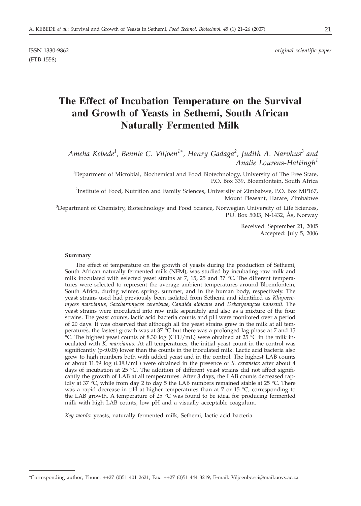(FTB-1558)

# **The Effect of Incubation Temperature on the Survival and Growth of Yeasts in Sethemi, South African Naturally Fermented Milk**

*Ameha Kebede<sup>1</sup> , Bennie C. Viljoen1\*, Henry Gadaga2 , Judith A. Narvhus<sup>3</sup> and Analie Lourens-Hattingh<sup>1</sup>*

<sup>1</sup>Department of Microbial, Biochemical and Food Biotechnology, University of The Free State, P.O. Box 339, Bloemfontein, South Africa

<sup>2</sup>Institute of Food, Nutrition and Family Sciences, University of Zimbabwe, P.O. Box MP167, Mount Pleasant, Harare, Zimbabwe

<sup>3</sup>Department of Chemistry, Biotechnology and Food Science, Norwegian University of Life Sciences, P.O. Box 5003, N-1432, Ås, Norway

> Received: September 21, 2005 Accepted: July 5, 2006

#### **Summary**

The effect of temperature on the growth of yeasts during the production of Sethemi, South African naturally fermented milk (NFM), was studied by incubating raw milk and milk inoculated with selected yeast strains at 7, 15, 25 and 37 °C. The different temperatures were selected to represent the average ambient temperatures around Bloemfontein, South Africa, during winter, spring, summer, and in the human body, respectively. The yeast strains used had previously been isolated from Sethemi and identified as *Kluyveromyces marxianus*, *Saccharomyces cerevisiae*, *Candida albicans* and *Debaryomyces hansenii*. The yeast strains were inoculated into raw milk separately and also as a mixture of the four strains. The yeast counts, lactic acid bacteria counts and pH were monitored over a period of 20 days. It was observed that although all the yeast strains grew in the milk at all temperatures, the fastest growth was at 37 °C but there was a prolonged lag phase at 7 and 15  $\rm{^{\circ}C}$ . The highest yeast counts of 8.30 log (CFU/mL) were obtained at 25  $\rm{^{\circ}C}$  in the milk inoculated with *K. marxianus*. At all temperatures, the initial yeast count in the control was significantly (p<0.05) lower than the counts in the inoculated milk. Lactic acid bacteria also grew to high numbers both with added yeast and in the control. The highest LAB counts of about 11.59 log (CFU/mL) were obtained in the presence of *S. cerevisiae* after about 4 days of incubation at 25 °C. The addition of different yeast strains did not affect significantly the growth of LAB at all temperatures. After 3 days, the LAB counts decreased rapidly at 37 °C, while from day 2 to day 5 the LAB numbers remained stable at 25 °C. There was a rapid decrease in pH at higher temperatures than at 7 or 15  $\degree$ C, corresponding to the LAB growth. A temperature of 25  $^{\circ}$ C was found to be ideal for producing fermented milk with high LAB counts, low pH and a visually acceptable coagulum.

*Key words*: yeasts, naturally fermented milk, Sethemi, lactic acid bacteria

<sup>\*</sup>Corresponding author; Phone: ++27 (0)51 401 2621; Fax: ++27 (0)51 444 3219; E-mail: Viljoenbc.sci*@*mail.uovs.ac.za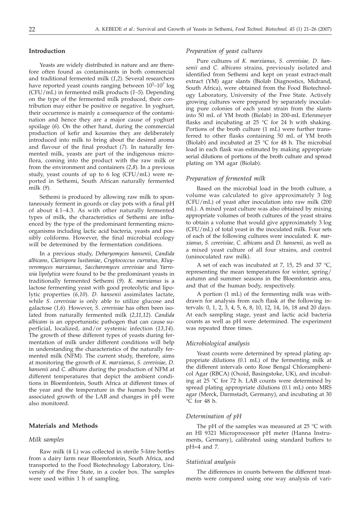## **Introduction**

Yeasts are widely distributed in nature and are therefore often found as contaminants in both commercial and traditional fermented milk (*1,2*). Several researchers have reported yeast counts ranging between  $10^3-10^7 \log$ (CFU/mL) in fermented milk products (*1–5*). Depending on the type of the fermented milk produced, their contribution may either be positive or negative. In yoghurt, their occurrence is mainly a consequence of the contamination and hence they are a major cause of yoghurt spoilage (*6*). On the other hand, during the commercial production of kefir and koumiss they are deliberately introduced into milk to bring about the desired aroma and flavour of the final product (*7*). In naturally fermented milk, yeasts are part of the indigenous microflora, coming into the product with the raw milk or from the environment and containers (*2,8*). In a previous study, yeast counts of up to 6 log (CFU/mL) were reported in Sethemi, South African naturally fermented milk (*9*).

Sethemi is produced by allowing raw milk to spontaneously ferment in gourds or clay pots with a final pH of about 4.1–4.3. As with other naturally fermented types of milk, the characteristics of Sethemi are influenced by the type of the predominant fermenting microorganisms including lactic acid bacteria, yeasts and possibly coliforms. However, the final microbial ecology will be determined by the fermentation conditions.

In a previous study, *Debaryomyces hansenii*, *Candida albicans*, *Clavispora lusitaniae*, *Cryptococcus curvatus*, *Kluyveromyces marxianus*, *Saccharomyces cerevisiae* and *Yarrowia lipolytica* were found to be the predominant yeasts in traditionally fermented Sethemi (*9*). *K. marxianus* is a lactose fermenting yeast with good proteolytic and lipolytic properties (*6,10*). *D. hansenii* assimilates lactate, while *S. cerevisiae* is only able to utilize glucose and galactose (*1,6*). However, *S. cerevisiae* has often been isolated from naturally fermented milk (*2,11,12*). *Candida albicans* is an opportunistic pathogen that can cause superficial, localized, and/or systemic infection (*13,14*). The growth of these different types of yeasts during fermentation of milk under different conditions will help in understanding the characteristics of the naturally fermented milk (NFM). The current study, therefore, aims at monitoring the growth of *K. marxianus*, *S. cerevisiae*, *D. hansenii* and *C. albicans* during the production of NFM at different temperatures that depict the ambient conditions in Bloemfontein, South Africa at different times of the year and the temperature in the human body. The associated growth of the LAB and changes in pH were also monitored.

## **Materials and Methods**

### *Milk samples*

Raw milk (4 L) was collected in sterile 5-litre bottles from a dairy farm near Bloemfontein, South Africa, and transported to the Food Biotechnology Laboratory, University of the Free State, in a cooler box. The samples were used within 1 h of sampling.

### *Preparation of yeast cultures*

Pure cultures of *K. marxianus, S. cerevisiae, D. hansenii* and *C. albicans* strains, previously isolated and identified from Sethemi and kept on yeast extract-malt extract (YM) agar slants (Biolab Diagnostics, Midrand, South Africa), were obtained from the Food Biotechnology Laboratory, University of the Free State. Actively growing cultures were prepared by separately inoculating pure colonies of each yeast strain from the slants into 50 mL of YM broth (Biolab) in 200-mL Erlenmeyer flasks and incubating at  $25 \text{ °C}$  for  $24$  h with shaking. Portions of the broth culture (1 mL) were further transferred to other flasks containing 50 mL of YM broth (Biolab) and incubated at 25  $\degree$ C for 48 h. The microbial load in each flask was estimated by making appropriate serial dilutions of portions of the broth culture and spread plating on YM agar (Biolab).

## *Preparation of fermented milk*

Based on the microbial load in the broth culture, a volume was calculated to give approximately 3 log (CFU/mL) of yeast after inoculation into raw milk (200 mL). A mixed yeast culture was also obtained by mixing appropriate volumes of broth cultures of the yeast strains to obtain a volume that would give approximately 3 log (CFU/mL) of total yeast in the inoculated milk. Four sets of each of the following cultures were inoculated: *K. marxianus, S. cerevisiae, C. albicans* and *D. hansenii,* as well as a mixed yeast culture of all four strains, and control (uninoculated raw milk).

A set of each was incubated at 7, 15, 25 and 37  $^{\circ}$ C, representing the mean temperatures for winter, spring/ autumn and summer seasons in the Bloemfontein area, and that of the human body, respectively.

A portion (1 mL) of the fermenting milk was withdrawn for analysis from each flask at the following intervals: 0, 1, 2, 3, 4, 5, 6, 8, 10, 12, 14, 16, 18 and 20 days. At each sampling stage, yeast and lactic acid bacteria counts as well as pH were determined. The experiment was repeated three times.

#### *Microbiological analysis*

Yeast counts were determined by spread plating appropriate dilutions (0.1 mL) of the fermenting milk at the different intervals onto Rose Bengal Chloramphenicol Agar (RBCA) (Oxoid, Basingstoke, UK), and incubating at 25 °C for 72 h. LAB counts were determined by spread plating appropriate dilutions (0.1 mL) onto MRS agar (Merck, Darmstadt, Germany), and incubating at 30 °C for 48 h.

## *Determination of pH*

The pH of the samples was measured at 25 °C with an HI 9321 Microprocessor pH meter (Hanna Instruments, Germany), calibrated using standard buffers to pH=4 and 7.

### *Statistical analysis*

The differences in counts between the different treatments were compared using one way analysis of vari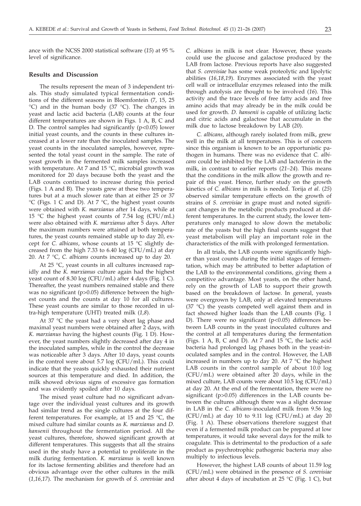ance with the NCSS 2000 statistical software (*15*) at 95 % level of significance.

## **Results and Discussion**

The results represent the mean of 3 independent trials. This study simulated typical fermentation conditions of the different seasons in Bloemfontein (7, 15, 25  $°C$ ) and in the human body (37  $°C$ ). The changes in yeast and lactic acid bacteria (LAB) counts at the four different temperatures are shown in Figs. 1 A, B, C and D. The control samples had significantly  $(p<0.05)$  lower initial yeast counts, and the counts in these cultures increased at a lower rate than the inoculated samples. The yeast counts in the inoculated samples, however, represented the total yeast count in the sample. The rate of yeast growth in the fermented milk samples increased with temperature. At 7 and 15  $°C$ , microbial growth was monitored for 20 days because both the yeast and the LAB counts continued to increase during this period (Figs. 1 A and B). The yeasts grew at these two temperatures but at a much slower rate than at either 25 or 37 °C (Figs. 1 C and D). At 7 °C, the highest yeast counts were obtained with *K. marxianus* after 14 days, while at 15 °C the highest yeast counts of 7.54  $log$  (CFU/mL) were also obtained with *K. marxianus* after 5 days. After the maximum numbers were attained at both temperatures, the yeast counts remained stable up to day 20, except for *C. albicans*, whose counts at 15 °C slightly decreased from the high 7.33 to 6.40 log (CFU/mL) at day 20. At 7 °C, *C. albicans* counts increased up to day 20.

At 25 °C, yeast counts in all cultures increased rapidly and the *K. marxianus* culture again had the highest yeast count of 8.30 log (CFU/mL) after 4 days (Fig. 1 C). Thereafter, the yeast numbers remained stable and there was no significant (p>0.05) difference between the highest counts and the counts at day 10 for all cultures. These yeast counts are similar to those recorded in ultra-high temperature (UHT) treated milk (*1,8*).

At 37 °C the yeast had a very short lag phase and maximal yeast numbers were obtained after 2 days, with *K. marxianus* having the highest counts (Fig. 1 D). However, the yeast numbers slightly decreased after day 4 in the inoculated samples, while in the control the decrease was noticeable after 3 days. After 10 days, yeast counts in the control were about 5.7 log (CFU/mL). This could indicate that the yeasts quickly exhausted their nutrient sources at this temperature and died. In addition, the milk showed obvious signs of excessive gas formation and was evidently spoiled after 10 days.

The mixed yeast culture had no significant advantage over the individual yeast cultures and its growth had similar trend as the single cultures at the four different temperatures. For example, at 15 and 25 °C, the mixed culture had similar counts as *K. marxianus* and *D. hansenii* throughout the fermentation period. All the yeast cultures, therefore, showed significant growth at different temperatures. This suggests that all the strains used in the study have a potential to proliferate in the milk during fermentation. *K. marxianus* is well known for its lactose fermenting abilities and therefore had an obvious advantage over the other cultures in the milk (*1,16,17*). The mechanism for growth of *S. cerevisiae* and

*C. albicans* in milk is not clear. However, these yeasts could use the glucose and galactose produced by the LAB from lactose. Previous reports have also suggested that *S. cerevisiae* has some weak proteolytic and lipolytic abilities (*16,18,19*). Enzymes associated with the yeast cell wall or intracellular enzymes released into the milk through autolysis are thought to be involved (*16*). This activity and the trace levels of free fatty acids and free amino acids that may already be in the milk could be used for growth. *D. hansenii* is capable of utilizing lactic and citric acids and galactose that accumulate in the milk due to lactose breakdown by LAB (*20*).

*C. albicans*, although rarely isolated from milk, grew well in the milk at all temperatures. This is of concern since this organism is known to be an opportunistic pathogen in humans. There was no evidence that *C. albicans* could be inhibited by the LAB and lactoferrin in the milk, in contrast to earlier reports (*21–24*). This means that the conditions in the milk allow the growth and repair of this yeast. Hence, further study on the growth kinetics of *C. albicans* in milk is needed. Torija *et al*. (*25*) observed similar temperature effects on the growth of strains of *S. cerevisiae* in grape must and noted significant changes in the metabolic products produced at different temperatures. In the current study, the lower temperatures only managed to slow down the metabolic rate of the yeasts but the high final counts suggest that yeast metabolism will play an important role in the characteristics of the milk with prolonged fermentation.

In all trials, the LAB counts were significantly higher than yeast counts during the initial stages of fermentation, which may be attributed to better adaptation of the LAB to the environmental conditions, giving them a competitive advantage. Most yeasts, on the other hand, rely on the growth of LAB to support their growth based on the breakdown of lactose. In general, yeasts were overgrown by LAB, only at elevated temperatures (37 °C) the yeasts competed well against them and in fact showed higher loads than the LAB counts (Fig. 1 D). There were no significant  $(p<0.05)$  differences between LAB counts in the yeast inoculated cultures and the control at all temperatures during the fermentation (Figs. 1 A, B, C and D). At 7 and  $15^{\circ}$ C, the lactic acid bacteria had prolonged lag phases both in the yeast-inoculated samples and in the control. However, the LAB increased in numbers up to day 20. At  $7^{\circ}$ C the highest LAB counts in the control sample of about 10.0 log (CFU/mL) were obtained after 20 days, while in the mixed culture, LAB counts were about 10.5 log (CFU/mL) at day 20. At the end of the fermentation, there were no significant (p>0.05) differences in the LAB counts between the cultures although there was a slight decrease in LAB in the *C. albicans-*inoculated milk from 9.56 log (CFU/mL) at day 10 to 9.11 log (CFU/mL) at day 20 (Fig. 1 A). These observations therefore suggest that even if a fermented milk product can be prepared at low temperatures, it would take several days for the milk to coagulate. This is detrimental to the production of a safe product as psychrotrophic pathogenic bacteria may also multiply to infectious levels.

However, the highest LAB counts of about 11.59 log (CFU/mL) were obtained in the presence of *S. cerevisiae* after about 4 days of incubation at 25 °C (Fig. 1 C), but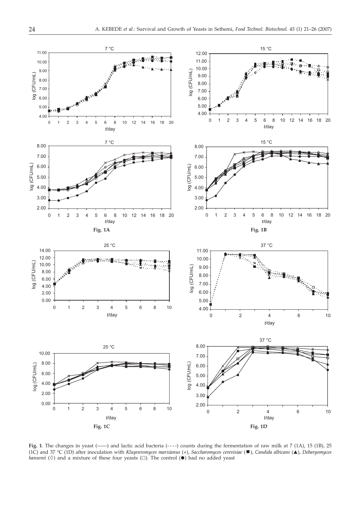

Fig. 1. The changes in yeast (-) and lactic acid bacteria (----) counts during the fermentation of raw milk at 7 (1A), 15 (1B), 25 (1C) and 37 °C (1D) after inoculation with *Kluyveromyces marxianus* (x), *Saccharomyces cerevisiae* (■), *Candida albicans* (▲), *Debaryomyces hansenii* ( $\Diamond$ ) and a mixture of these four yeasts ( $\Box$ ). The control ( $\bullet$ ) had no added yeast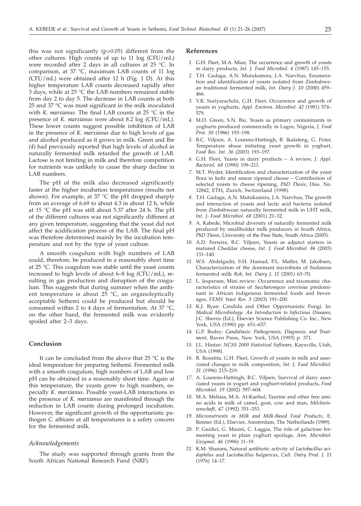this was not significantly (p>0.05) different from the other cultures. High counts of up to 11 log (CFU/mL) were recorded after 2 days in all cultures at 25 °C. In comparison, at 37 °C, maximum LAB counts of 11 log (CFU/mL) were obtained after 12 h (Fig. 1 D). At this higher temperature LAB counts decreased rapidly after 3 days, while at 25 °C the LAB numbers remained stable from day 2 to day 5. The decrease in LAB counts at both 25 and 37 °C was most significant in the milk inoculated with *K. marxianus*. The final LAB counts at 25 °C in the presence of *K. marxianus* were about 8.2 log (CFU/mL). These lower counts suggest possible inhibition of LAB in the presence of *K. marxianus* due to high levels of gas and alcohol produced as it grows in milk. Green and Ibe (*4*) had previously reported that high levels of alcohol in naturally fermented milk retarded the growth of LAB. Lactose is not limiting in milk and therefore competition for nutrients was unlikely to cause the sharp decline in LAB numbers.

The pH of the milk also decreased significantly faster at the higher incubation temperatures (results not shown). For example, at 37 °C the pH dropped sharply from an average of 6.69 to about 4.3 in about 12 h, while at 15 °C the pH was still about 5.37 after 24 h. The pH of the different cultures was not significantly different at any given temperature, suggesting that the yeast did not affect the acidification process of the LAB. The final pH was therefore determined mainly by the incubation temperature and not by the type of yeast culture.

A smooth coagulum with high numbers of LAB could, therefore, be produced in a reasonably short time at 25 °C. This coagulum was stable until the yeast counts increased to high levels of about 6–8 log (CFU/mL), resulting in gas production and disruption of the coagulum. This suggests that during summer when the ambient temperature is about 25 °C, an organoleptically acceptable Sethemi could be produced but should be consumed within 2 to 4 days of fermentation. At 37 °C, on the other hand, the fermented milk was evidently spoiled after 2–3 days.

## **Conclusion**

It can be concluded from the above that  $25 \text{ °C}$  is the ideal temperature for preparing Sethemi. Fermented milk with a smooth coagulum, high numbers of LAB and low pH can be obtained in a reasonably short time. Again at this temperature, the yeasts grow to high numbers, especially *K. marxianus*. Possible yeast-LAB interactions in the presence of *K. marxianus* are manifested through the reduction in LAB counts during prolonged incubation. However, the significant growth of the opportunistic pathogen *C. albicans* at all temperatures is a safety concern for the fermented milk.

#### *Acknowledgements*

The study was supported through grants from the South African National Research Fund (NRF).

## **References**

- *1.* G.H. Fleet, M.A. Mian, The occurrence and growth of yeasts in dairy products, *Int. J. Food Microbiol. 4* (1987) 145–155.
- *2.* T.H. Gadaga, A.N. Mutukumira, J.A. Narvhus, Enumeration and identification of yeasts isolated from Zimbabwean traditional fermented milk, *Int. Dairy J*. *10* (2000) 459– 466.
- *3.* V.R. Suriyarachchi, G.H. Fleet, Occurrence and growth of yeasts in yoghurts, *Appl. Environ. Microbiol. 42* (1981) 574– 579.
- *4.* M.D. Green, S.N. Ibe, Yeasts as primary contaminants in yoghurts produced commercially in Lagos, Nigeria, *J. Food Prot. 50* (1986) 193–198.
- *5.* B.C. Viljoen, A. Lourens-Hattingh, B. Ikalafeng, G. Peter, Temperature abuse initiating yeast growth in yoghurt, *Food Res. Int. 36* (2003) 193–197.
- *6.* G.H. Fleet, Yeasts in dairy products A review, *J. Appl. Bacteriol. 68* (1990) 199–211.
- *7.* M.T. Wyder, Identification and characterization of the yeast flora in kefir and smear ripened cheese – Contribution of selected yeasts to cheese ripening, *PhD Thesis*, Diss. No. 12842, ETH, Zurich, Switzerland (1998).
- *8.* T.H. Gadaga, A.N. Mutukumira, J.A. Narvhus, The growth and interaction of yeasts and lactic acid bacteria isolated from Zimbabwean naturally fermented milk in UHT milk, *Int. J. Food Microbiol. 68* (2001) 21–32.
- *9.* A. Kabede, Microbial diversity of naturally fermented milk produced by smallholder milk producers in South Africa, *PhD Thesis*, University of the Free State, South Africa (2005).
- *10.* A.D. Ferreira, B.C. Viljoen, Yeasts as adjunct starters in matured Cheddar cheese, *Int. J. Food Microbiol*. *86* (2003) 131–140.
- *11.* W.S. Abdelgadir, S.H. Hamad, P.L. Møller, M. Jakobsen, Characterization of the dominant microbiota of Sudanese fermented milk *Rob, Int. Dairy J. 11* (2001) 63–70.
- *12.* L. Jespersen, Mini review: Occurrence and taxonomic characteristics of strains of *Saccharomyces cerevisiae* predominant in African indigenous fermented foods and beverages, *FEMS Yeast Res. 3* (2003) 191–200.
- *13.* K.J. Ryan: Candida and Other Opportunistic Fungi. In: *Medical Microbiology: An Introduction to Infectious Diseases*, J.C. Sherris (Ed.), Elsevier Science Publishing Co. Inc., New York, USA (1990) pp. 651–657.
- *14.* G.P. Bodey: *Candidiasis: Pathogenesis, Diagnosis, and Treatment*, Raven Press, New York, USA (1993) p. 371.
- *15.* J.L. Hintze: *NCSS 2000 Statistical Software,* Kaysville, Utah, USA (1998).
- *16.* R. Roostita, G.H. Fleet, Growth of yeasts in milk and associated changes in milk composition, *Int. J. Food Microbiol*. *31* (1996) 215–219.
- *17.* A. Lourens-Hattingh, B.C. Viljoen, Survival of dairy associated yeasts in yogurt and yoghurt-related products, *Food Microbiol. 19* (2002) 597–604.
- *18.* M.A. Mehaia, M.A. Al-Kanhal, Taurine and other free amino acids in milk of camel, goat, cow and man, *Milchwissenschaft*, *47* (1992) 351–353.
- *19. Micronutrients in Milk and Milk-Based Food Products*, E. Renner (Ed.), Elsevier, Amsterdam, The Netherlands (1989).
- *20.* P. Guidici, G. Masini, C. Laggia, The role of galactose fermenting yeast in plain yoghurt spoilage, *Ann. Microbiol. Enzymol*. *46* (1996) 11–19.
- *21.* K.M. Shanani, Natural antibiotic activity of *Lactobacillus acidophilus* and *Lactobacillus bulgaricus*, *Cult. Dairy Prod. J*. *11* (1976) 14–17.